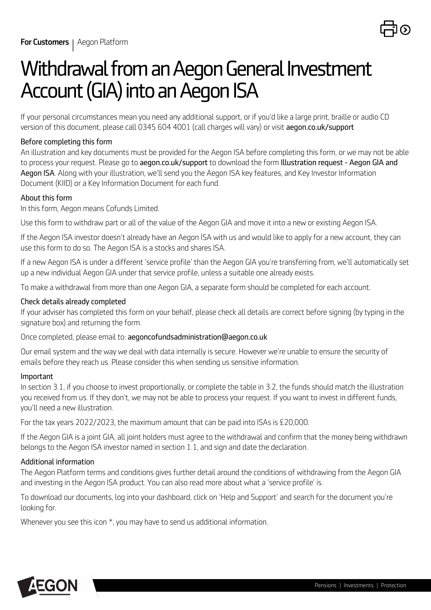

# *Withdrawal from an Aegon General Investment Account (GIA) into an Aegon ISA*

*If your personal circumstances mean you need any additional support, or if you'd like a large print, braille or audio CD version of this document, please call 0345 604 4001 (call charges will vary) or visit [aegon.co.uk/support](https://www.aegon.co.uk/support.html)* 

### *Before completing this form*

*An illustration and key documents must be provided for the Aegon ISA before completing this form, or we may not be able to process your request. Please go to [aegon.co.uk/support](https://www.aegon.co.uk/support.html) to download the form Illustration request - Aegon GIA and Aegon ISA. Along with your illustration, we'll send you the Aegon ISA key features, and Key Investor Information Document (KIID) or a Key Information Document for each fund.*

### *About this form*

*In this form, Aegon means Cofunds Limited.*

*Use this form to withdraw part or all of the value of the Aegon GIA and move it into a new or existing Aegon ISA.*

*If the Aegon ISA investor doesn't already have an Aegon ISA with us and would like to apply for a new account, they can use this form to do so. The Aegon ISA is a stocks and shares ISA.*

*If a new Aegon ISA is under a different 'service profile' than the Aegon GIA you're transferring from, we'll automatically set up a new individual Aegon GIA under that service profile, unless a suitable one already exists.*

*To make a withdrawal from more than one Aegon GIA, a separate form should be completed for each account.*

### *Check details already completed*

*If your adviser has completed this form on your behalf, please check all details are correct before signing (by typing in the signature box) and returning the form.*

*Once completed, please email to: aegoncofundsadministration@aegon.co.uk*

*Our email system and the way we deal with data internally is secure. However we're unable to ensure the security of emails before they reach us. Please consider this when sending us sensitive information.*

### *Important*

*In section 3.1, if you choose to invest proportionally, or complete the table in 3.2, the funds should match the illustration you received from us. If they don't, we may not be able to process your request. If you want to invest in different funds, you'll need a new illustration.*

*For the tax years 2022/2023, the maximum amount that can be paid into ISAs is £20,000.*

*If the Aegon GIA is a joint GIA, all joint holders must agree to the withdrawal and confirm that the money being withdrawn belongs to the Aegon ISA investor named in section 1.1, and sign and date the declaration.*

### *Additional information*

*The Aegon Platform terms and conditions gives further detail around the conditions of withdrawing from the Aegon GIA and investing in the Aegon ISA product. You can also read more about what a 'service profile' is.*

*To download our documents, log into your dashboard, click on 'Help and Support' and search for the document you're looking for.*

*Whenever you see this icon \*, you may have to send us additional information.*

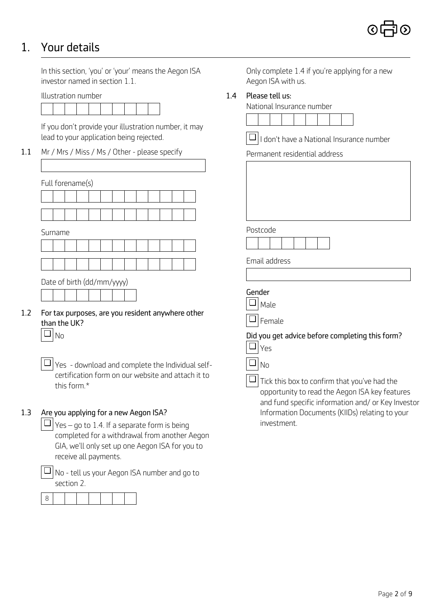### *1. Your details*

*In this section, 'you' or 'your' means the Aegon ISA investor named in section 1.1.*



*If you don't provide your illustration number, it may lead to your application being rejected.* 

*1.1 Mr / Mrs / Miss / Ms / Other - please specify*

|     |  |         | Full forename(s)           |  |  |  |                                                   |  |  |  |  |  |  |  |  |        |             |      |  |
|-----|--|---------|----------------------------|--|--|--|---------------------------------------------------|--|--|--|--|--|--|--|--|--------|-------------|------|--|
|     |  |         |                            |  |  |  |                                                   |  |  |  |  |  |  |  |  |        |             |      |  |
|     |  |         |                            |  |  |  |                                                   |  |  |  |  |  |  |  |  |        |             |      |  |
|     |  | Surname |                            |  |  |  |                                                   |  |  |  |  |  |  |  |  |        | Postcode    |      |  |
|     |  |         |                            |  |  |  |                                                   |  |  |  |  |  |  |  |  |        |             |      |  |
|     |  |         |                            |  |  |  |                                                   |  |  |  |  |  |  |  |  |        | Email addre |      |  |
|     |  |         | Date of birth (dd/mm/yyyy) |  |  |  |                                                   |  |  |  |  |  |  |  |  |        |             |      |  |
|     |  |         |                            |  |  |  |                                                   |  |  |  |  |  |  |  |  |        | Gender      |      |  |
| 1.2 |  |         |                            |  |  |  |                                                   |  |  |  |  |  |  |  |  |        |             | Male |  |
|     |  |         | than the UK?               |  |  |  | For tax purposes, are you resident anywhere other |  |  |  |  |  |  |  |  | Female |             |      |  |
|     |  | No      |                            |  |  |  |                                                   |  |  |  |  |  |  |  |  |        | Did you get |      |  |
|     |  |         |                            |  |  |  |                                                   |  |  |  |  |  |  |  |  |        |             | Yes  |  |

*Yes - download and complete the Individual self-*❏ *certification form on our website and attach it to this form.\** 

### *1.3 Are you applying for a new Aegon ISA?*

*Yes – go to 1.4. If a separate form is being* ❏ *completed for a withdrawal from another Aegon GIA, we'll only set up one Aegon ISA for you to receive all payments.*

*No - tell us your Aegon ISA number and go to* ❏*section 2.*



*Only complete 1.4 if you're applying for a new Aegon ISA with us.*

### *Illustration number 1.4 Please tell us:*

| National Insurance number |  |  |  |  |
|---------------------------|--|--|--|--|
|                           |  |  |  |  |

| $\overline{\textcolor{orange}\blacksquare}$ I don't have a National Insurance number |  |
|--------------------------------------------------------------------------------------|--|
|--------------------------------------------------------------------------------------|--|

*Permanent residential address*

| forename(s)                                                                                                           |                                                                                                                                                                    |
|-----------------------------------------------------------------------------------------------------------------------|--------------------------------------------------------------------------------------------------------------------------------------------------------------------|
|                                                                                                                       |                                                                                                                                                                    |
|                                                                                                                       |                                                                                                                                                                    |
| iame                                                                                                                  | Postcode                                                                                                                                                           |
|                                                                                                                       | Email address                                                                                                                                                      |
| of birth (dd/mm/yyyy)                                                                                                 |                                                                                                                                                                    |
| tax purposes, are you resident anywhere other<br>the UK?                                                              | Gender<br>Male<br>❏<br>Female                                                                                                                                      |
| No                                                                                                                    | Did you get advice before completing this form?<br>┙<br>Yes                                                                                                        |
| Yes - download and complete the Individual self-<br>certification form on our website and attach it to<br>this form.* | $\Box$<br>No<br>Tick this box to confirm that you've had the<br>opportunity to read the Aegon ISA key features<br>and fund specific information and/ or Key Invest |

*and fund specific information and/ or Key Investor Information Documents (KIIDs) relating to your investment.*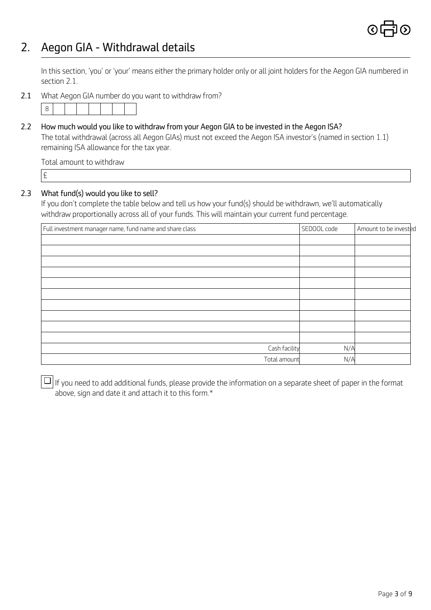

# *2. Aegon GIA - Withdrawal details*

*In this section, 'you' or 'your' means either the primary holder only or all joint holders for the Aegon GIA numbered in section 2.1.*

*2.1 What Aegon GIA number do you want to withdraw from?*



*2.2 How much would you like to withdraw from your Aegon GIA to be invested in the Aegon ISA?*

*The total withdrawal (across all Aegon GIAs) must not exceed the Aegon ISA investor's (named in section 1.1) remaining ISA allowance for the tax year.*

*Total amount to withdraw*

*£* 

### *2.3 What fund(s) would you like to sell?*

*If you don't complete the table below and tell us how your fund(s) should be withdrawn, we'll automatically withdraw proportionally across all of your funds. This will maintain your current fund percentage.*

| Full investment manager name, fund name and share class | SEDOOL code | Amount to be invested |
|---------------------------------------------------------|-------------|-----------------------|
|                                                         |             |                       |
|                                                         |             |                       |
|                                                         |             |                       |
|                                                         |             |                       |
|                                                         |             |                       |
|                                                         |             |                       |
|                                                         |             |                       |
|                                                         |             |                       |
|                                                         |             |                       |
|                                                         |             |                       |
| Cash facility                                           | N/A         |                       |
| Total amount                                            | N/A         |                       |

*If you need to add additional funds, please provide the information on a separate sheet of paper in the format* ❏*above, sign and date it and attach it to this form.\**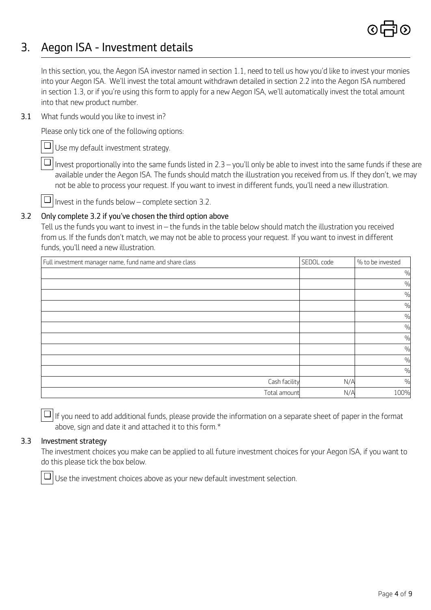

# *3. Aegon ISA - Investment details*

*In this section, you, the Aegon ISA investor named in section 1.1, need to tell us how you'd like to invest your monies into your Aegon ISA. We'll invest the total amount withdrawn detailed in section 2.2 into the Aegon ISA numbered in section 1.3, or if you're using this form to apply for a new Aegon ISA, we'll automatically invest the total amount into that new product number.*

*3.1 What funds would you like to invest in?* 

*Please only tick one of the following options:*

*Use my default investment strategy.* ❏

*Invest proportionally into the same funds listed in 2.3 – you'll only be able to invest into the same funds if these are* ❏ *available under the Aegon ISA. The funds should match the illustration you received from us. If they don't, we may not be able to process your request. If you want to invest in different funds, you'll need a new illustration.*

*Invest in the funds below – complete section 3.2.* ❏

### *3.2 Only complete 3.2 if you've chosen the third option above*

*Tell us the funds you want to invest in – the funds in the table below should match the illustration you received from us. If the funds don't match, we may not be able to process your request. If you want to invest in different funds, you'll need a new illustration.*

| Full investment manager name, fund name and share class | SEDOL code | % to be invested |
|---------------------------------------------------------|------------|------------------|
|                                                         |            | $\%$             |
|                                                         |            | $\%$             |
|                                                         |            | $\frac{0}{0}$    |
|                                                         |            | $\frac{0}{0}$    |
|                                                         |            | $\frac{0}{0}$    |
|                                                         |            | %                |
|                                                         |            | $\frac{0}{0}$    |
|                                                         |            | %                |
|                                                         |            | %                |
|                                                         |            | $\frac{0}{0}$    |
| Cash facility                                           | N/A        | $\frac{0}{0}$    |
| Total amount                                            | N/A        | 100%             |

*If you need to add additional funds, please provide the information on a separate sheet of paper in the format* ❏ *above, sign and date it and attached it to this form.\** 

### *3.3 Investment strategy*

*The investment choices you make can be applied to all future investment choices for your Aegon ISA, if you want to do this please tick the box below.*

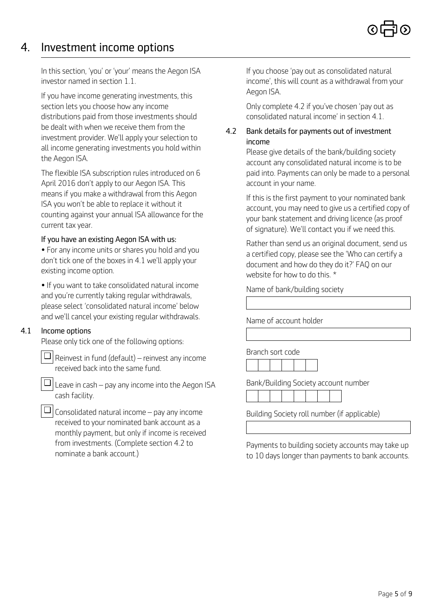### *4. Investment income options*

*In this section, 'you' or 'your' means the Aegon ISA investor named in section 1.1.* 

*Aegon ISA. If you have income generating investments, this section lets you choose how any income distributions paid from those investments should be dealt with when we receive them from the investment provider. We'll apply your selection to all income generating investments you hold within the Aegon ISA.*

*The flexible ISA subscription rules introduced on 6 April 2016 don't apply to our Aegon ISA. This means if you make a withdrawal from this Aegon ISA you won't be able to replace it without it counting against your annual ISA allowance for the current tax year.*

### *If you have an existing Aegon ISA with us:*

*• For any income units or shares you hold and you don't tick one of the boxes in 4.1 we'll apply your existing income option.*

*• If you want to take consolidated natural income and you're currently taking regular withdrawals, please select 'consolidated natural income' below and we'll cancel your existing regular withdrawals.*

### *4.1 Income options*

*Please only tick one of the following options:*

*Reinvest in fund (default) – reinvest any income* ❏ *received back into the same fund.*

*Leave in cash – pay any income into the Aegon ISA* ❏ *cash facility.*

*Consolidated natural income – pay any income* ❏*received to your nominated bank account as a monthly payment, but only if income is received from investments. (Complete section 4.2 to nominate a bank account.)*

*If you choose 'pay out as consolidated natural income', this will count as a withdrawal from your*

*Only complete 4.2 if you've chosen 'pay out as consolidated natural income' in section 4.1.* 

### *4.2 Bank details for payments out of investment income*

*Please give details of the bank/building society account any consolidated natural income is to be paid into. Payments can only be made to a personal account in your name.*

*If this is the first payment to your nominated bank account, you may need to give us a certified copy of your bank statement and driving licence (as proof of signature). We'll contact you if we need this.*

*Rather than send us an original document, send us a certified copy, please see the 'Who can certify a document and how do they do it?' FAQ on our website for how to do this. \**

*Name of bank/building society*

*Name of account holder Branch sort code Bank/Building Society account number*

*Building Society roll number (if applicable)*

*Payments to building society accounts may take up to 10 days longer than payments to bank accounts.*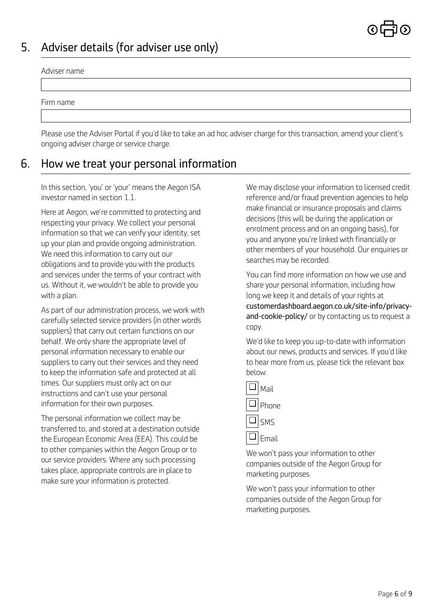

# *5. Adviser details (for adviser use only)*

#### *Adviser name*

*Firm name*

*Please use the Adviser Portal if you'd like to take an ad hoc adviser charge for this transaction, amend your client's ongoing adviser charge or service charge.*

### *6. How we treat your personal information*

*In this section, 'you' or 'your' means the Aegon ISA investor named in section 1.1.* 

*Here at Aegon, we're committed to protecting and respecting your privacy. We collect your personal information so that we can verify your identity, set up your plan and provide ongoing administration. We need this information to carry out our obligations and to provide you with the products and services under the terms of your contract with us. Without it, we wouldn't be able to provide you with a plan.*

*As part of our administration process, we work with carefully selected service providers (in other words suppliers) that carry out certain functions on our behalf. We only share the appropriate level of personal information necessary to enable our suppliers to carry out their services and they need to keep the information safe and protected at all times. Our suppliers must only act on our instructions and can't use your personal information for their own purposes.*

*The personal information we collect may be transferred to, and stored at a destination outside the European Economic Area (EEA). This could be to other companies within the Aegon Group or to our service providers. Where any such processing takes place, appropriate controls are in place to make sure your information is protected.*

*We may disclose your information to licensed credit reference and/or fraud prevention agencies to help make financial or insurance proposals and claims decisions (this will be during the application or enrolment process and on an ongoing basis), for you and anyone you're linked with financially or other members of your household. Our enquiries or searches may be recorded.*

*You can find more information on how we use and share your personal information, including how long we keep it and details of your rights at [customerdashboard.aegon.co.uk/site-info/privacy](https://customerdashboard.aegon.co.uk/site-info/privacy-and-cookie-policy/)and-cookie-policy/ or by contacting us to request a copy.*

*We'd like to keep you up-to-date with information about our news, products and services. If you'd like to hear more from us, please tick the relevant box below.*

|    | Mail       |
|----|------------|
| u. | Phone      |
|    | $\Box$ SMS |
|    | Email      |

*We won't pass your information to other companies outside of the Aegon Group for marketing purposes.*

*We won't pass your information to other companies outside of the Aegon Group for marketing purposes.*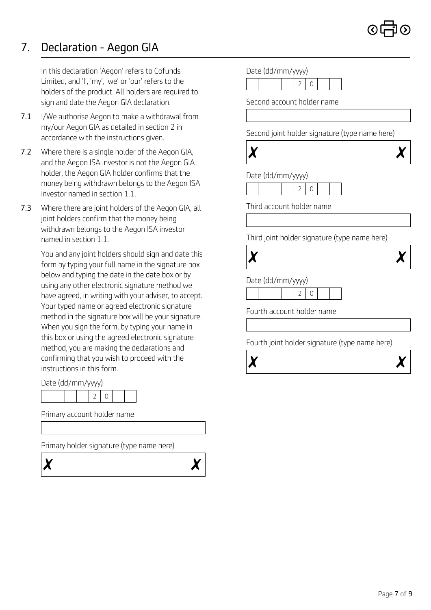$\chi$ 

# *7. Declaration - Aegon GIA*

*In this declaration 'Aegon' refers to Cofunds Limited, and 'I', 'my', 'we' or 'our' refers to the holders of the product. All holders are required to sign and date the Aegon GIA declaration.*

- *7.1 I/We authorise Aegon to make a withdrawal from my/our Aegon GIA as detailed in section 2 in accordance with the instructions given.*
- *7.2 Where there is a single holder of the Aegon GIA, and the Aegon ISA investor is not the Aegon GIA holder, the Aegon GIA holder confirms that the money being withdrawn belongs to the Aegon ISA investor named in section 1.1.*
- *7.3 Where there are joint holders of the Aegon GIA, all joint holders confirm that the money being withdrawn belongs to the Aegon ISA investor named in section 1.1.*

*You and any joint holders should sign and date this form by typing your full name in the signature box below and typing the date in the date box or by using any other electronic signature method we have agreed, in writing with your adviser, to accept. Your typed name or agreed electronic signature method in the signature box will be your signature. When you sign the form, by typing your name in this box or using the agreed electronic signature method, you are making the declarations and confirming that you wish to proceed with the instructions in this form.*

*Date (dd/mm/yyyy)*

|  |  | . |  |  |  |  |  |
|--|--|---|--|--|--|--|--|
|  |  |   |  |  |  |  |  |

*Primary account holder name*

*Primary holder signature (type name here)*

 $\boldsymbol{\chi}$ 



| Second account holder name<br>Second joint holder signature (type name here)<br>Date (dd/mm/yyyy)<br>2<br>0<br>Third account holder name<br>Third joint holder signature (type name here)<br>Date (dd/mm/yyyy)<br>2<br>0<br>Fourth account holder name |  |  | $\overline{2}$ | Date (dd/mm/yyyy) | 0 |  |  |  |  |  |  |
|--------------------------------------------------------------------------------------------------------------------------------------------------------------------------------------------------------------------------------------------------------|--|--|----------------|-------------------|---|--|--|--|--|--|--|
|                                                                                                                                                                                                                                                        |  |  |                |                   |   |  |  |  |  |  |  |
|                                                                                                                                                                                                                                                        |  |  |                |                   |   |  |  |  |  |  |  |
|                                                                                                                                                                                                                                                        |  |  |                |                   |   |  |  |  |  |  |  |
|                                                                                                                                                                                                                                                        |  |  |                |                   |   |  |  |  |  |  |  |
|                                                                                                                                                                                                                                                        |  |  |                |                   |   |  |  |  |  |  |  |
|                                                                                                                                                                                                                                                        |  |  |                |                   |   |  |  |  |  |  |  |
|                                                                                                                                                                                                                                                        |  |  |                |                   |   |  |  |  |  |  |  |
|                                                                                                                                                                                                                                                        |  |  |                |                   |   |  |  |  |  |  |  |
|                                                                                                                                                                                                                                                        |  |  |                |                   |   |  |  |  |  |  |  |
|                                                                                                                                                                                                                                                        |  |  |                |                   |   |  |  |  |  |  |  |
|                                                                                                                                                                                                                                                        |  |  |                |                   |   |  |  |  |  |  |  |
|                                                                                                                                                                                                                                                        |  |  |                |                   |   |  |  |  |  |  |  |
|                                                                                                                                                                                                                                                        |  |  |                |                   |   |  |  |  |  |  |  |
|                                                                                                                                                                                                                                                        |  |  |                |                   |   |  |  |  |  |  |  |
| Fourth joint holder signature (type name here)                                                                                                                                                                                                         |  |  |                |                   |   |  |  |  |  |  |  |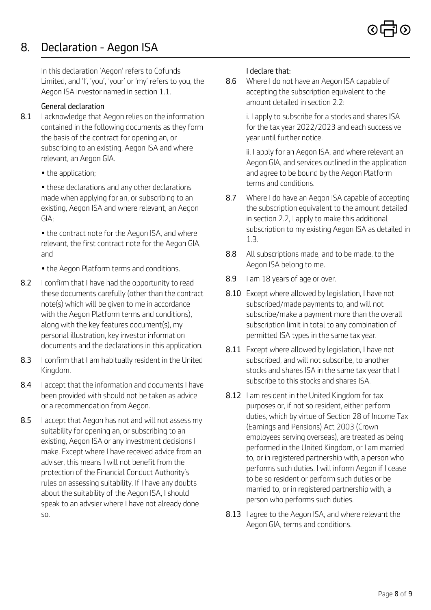# *8. Declaration - Aegon ISA*

*In this declaration 'Aegon' refers to Cofunds Limited, and 'I', 'you', 'your' or 'my' refers to you, the Aegon ISA investor named in section 1.1.* 

### *General declaration*

- *8.1 I acknowledge that Aegon relies on the information contained in the following documents as they form the basis of the contract for opening an, or subscribing to an existing, Aegon ISA and where relevant, an Aegon GIA.*
	- *the application;*

*terms and conditions. • these declarations and any other declarations made when applying for an, or subscribing to an existing, Aegon ISA and where relevant, an Aegon GIA;*

*• the contract note for the Aegon ISA, and where relevant, the first contract note for the Aegon GIA,*

- *Aegon ISA belong to me. the Aegon Platform terms and conditions.*
- *8.9 I am 18 years of age or over. 8.2 I confirm that I have had the opportunity to read these documents carefully (other than the contract note(s) which will be given to me in accordance with the Aegon Platform terms and conditions), along with the key features document(s), my personal illustration, key investor information documents and the declarations in this application.*
- *8.3 I confirm that I am habitually resident in the United Kingdom.*
- *subscribe to this stocks and shares ISA. 8.4 I accept that the information and documents I have been provided with should not be taken as advice or a recommendation from Aegon.*
- *8.5 I accept that Aegon has not and will not assess my suitability for opening an, or subscribing to an existing, Aegon ISA or any investment decisions I make. Except where I have received advice from an adviser, this means I will not benefit from the protection of the Financial Conduct Authority's rules on assessing suitability. If I have any doubts about the suitability of the Aegon ISA, I should speak to an advsier where I have not already done*

### *I declare that:*

*8.6 Where I do not have an Aegon ISA capable of accepting the subscription equivalent to the amount detailed in section 2.2:*

> *i. I apply to subscribe for a stocks and shares ISA for the tax year 2022/2023 and each successive year until further notice.*

*ii. I apply for an Aegon ISA, and where relevant an Aegon GIA, and services outlined in the application and agree to be bound by the Aegon Platform*

- *8.7 Where I do have an Aegon ISA capable of accepting the subscription equivalent to the amount detailed in section 2.2, I apply to make this additional subscription to my existing Aegon ISA as detailed in 1.3.*
- *and 8.8 All subscriptions made, and to be made, to the*
	-
	- *8.10 Except where allowed by legislation, I have not subscribed/made payments to, and will not subscribe/make a payment more than the overall subscription limit in total to any combination of permitted ISA types in the same tax year.*
	- *8.11 Except where allowed by legislation, I have not subscribed, and will not subscribe, to another stocks and shares ISA in the same tax year that I*
	- *8.12 I am resident in the United Kingdom for tax purposes or, if not so resident, either perform duties, which by virtue of Section 28 of Income Tax (Earnings and Pensions) Act 2003 (Crown employees serving overseas), are treated as being performed in the United Kingdom, or I am married to, or in registered partnership with, a person who performs such duties. I will inform Aegon if I cease to be so resident or perform such duties or be married to, or in registered partnership with, a person who performs such duties.*
- *so. 8.13 I agree to the Aegon ISA, and where relevant the Aegon GIA, terms and conditions.*